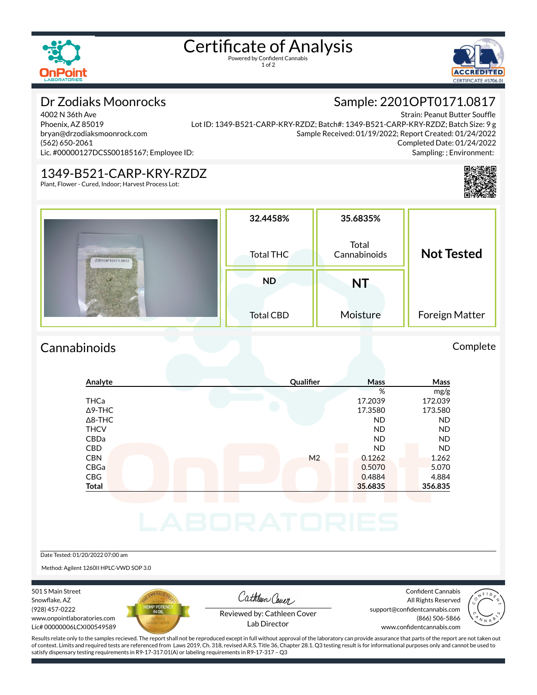

# Certificate of Analysis

1 of 2



Sample: 2201OPT0171.0817

### Dr Zodiaks Moonrocks

4002 N 36th Ave Phoenix, AZ 85019 bryan@drzodiaksmoonrock.com (562) 650-2061 Lic. #00000127DCSS00185167; Employee ID:

Strain: Peanut Butter Souffle Lot ID: 1349-B521-CARP-KRY-RZDZ; Batch#: 1349-B521-CARP-KRY-RZDZ; Batch Size: 9 g Sample Received: 01/19/2022; Report Created: 01/24/2022 Completed Date: 01/24/2022 Sampling: ; Environment:

#### 1349-B521-CARP-KRY-RZDZ

Plant, Flower - Cured, Indoor; Harvest Process Lot:



| 2201OPT0171.0817 | 32.4458%<br>Total THC         | 35.6835%<br>Total<br>Cannabinoids | <b>Not Tested</b> |
|------------------|-------------------------------|-----------------------------------|-------------------|
|                  | <b>ND</b><br><b>Total CBD</b> | NT<br>Moisture                    | Foreign Matter    |

#### Cannabinoids Complete

#### **Analyte Quali×er Mass Mass** % mg/g THCa 17.2039 172.039 Δ9-THC 17.3580 173.580 Δ8-THC ND ND THCV ND ND CBDa ND ND CBD ND ND CBN M2 0.1262 1.262 CBGa 0.5070 5.070 CBG 0.4884 4.884 **Total 35.6835 356.835**

Date Tested: 01/20/2022 07:00 am

Method: Agilent 1260II HPLC-VWD SOP 3.0

501 S Main Street Snowflake, AZ (928) 457-0222 www.onpointlaboratories.com Lic# 00000006LCXI00549589



Cathleen Cover

Confident Cannabis All Rights Reserved support@confidentcannabis.com (866) 506-5866



Reviewed by: Cathleen Cover Lab Director

www.confidentcannabis.com

Results relate only to the samples recieved. The report shall not be reproduced except in full without approval of the laboratory can provide assurance that parts of the report are not taken out of context. Limits and required tests are referenced from Laws 2019, Ch. 318, revised A.R.S. Title 36, Chapter 28.1. Q3 testing result is for informational purposes only and cannot be used to satisfy dispensary testing requirements in R9-17-317.01(A) or labeling requirements in R9-17-317 – Q3